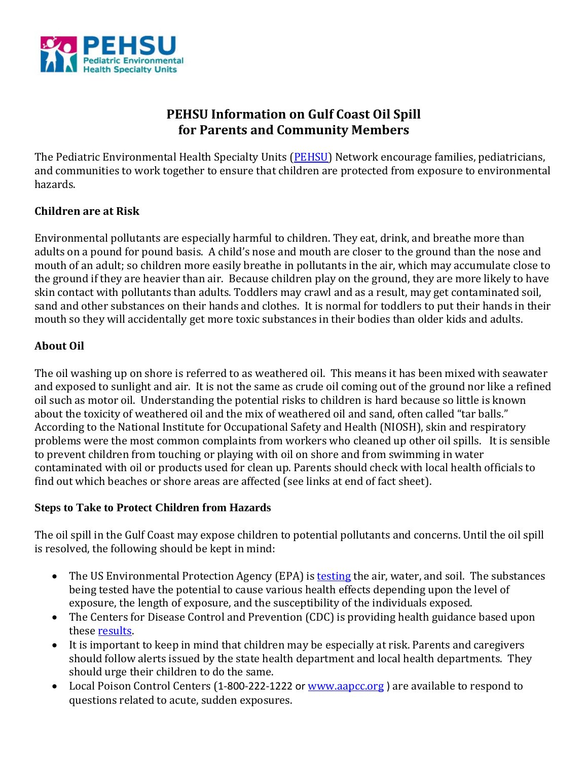

# **PEHSU Information on Gulf Coast Oil Spill for Parents and Community Members**

The Pediatric Environmental Health Specialty Units [\(PEHSU\)](http://www.pehsu.net/) Network encourage families, pediatricians, and communities to work together to ensure that children are protected from exposure to environmental hazards.

#### **Children are at Risk**

Environmental pollutants are especially harmful to children. They eat, drink, and breathe more than adults on a pound for pound basis. A child's nose and mouth are closer to the ground than the nose and mouth of an adult; so children more easily breathe in pollutants in the air, which may accumulate close to the ground if they are heavier than air. Because children play on the ground, they are more likely to have skin contact with pollutants than adults. Toddlers may crawl and as a result, may get contaminated soil, sand and other substances on their hands and clothes. It is normal for toddlers to put their hands in their mouth so they will accidentally get more toxic substances in their bodies than older kids and adults.

#### **About Oil**

The oil washing up on shore is referred to as weathered oil. This means it has been mixed with seawater and exposed to sunlight and air. It is not the same as crude oil coming out of the ground nor like a refined oil such as motor oil. Understanding the potential risks to children is hard because so little is known about the toxicity of weathered oil and the mix of weathered oil and sand, often called "tar balls." According to the National Institute for Occupational Safety and Health (NIOSH), skin and respiratory problems were the most common complaints from workers who cleaned up other oil spills. It is sensible to prevent children from touching or playing with oil on shore and from swimming in water contaminated with oil or products used for clean up. Parents should check with local health officials to find out which beaches or shore areas are affected (see links at end of fact sheet).

#### **Steps to Take to Protect Children from Hazards**

The oil spill in the Gulf Coast may expose children to potential pollutants and concerns. Until the oil spill is resolved, the following should be kept in mind:

- The US Environmental Protection Agency (EPA) is [testing](http://www.epa.gov/bpspill/epa.html#r6) the air, water, and soil. The substances being tested have the potential to cause various health effects depending upon the level of exposure, the length of exposure, and the susceptibility of the individuals exposed.
- The Centers for Disease Control and Prevention (CDC) is providing health guidance based upon these [results.](http://emergency.cdc.gov/gulfoilspill2010/)
- It is important to keep in mind that children may be especially at risk. Parents and caregivers should follow alerts issued by the state health department and local health departments. They should urge their children to do the same.
- Local Poison Control Centers (1-800-222-1222 or [www.aapcc.org](http://www.aapcc.org/)) are available to respond to questions related to acute, sudden exposures.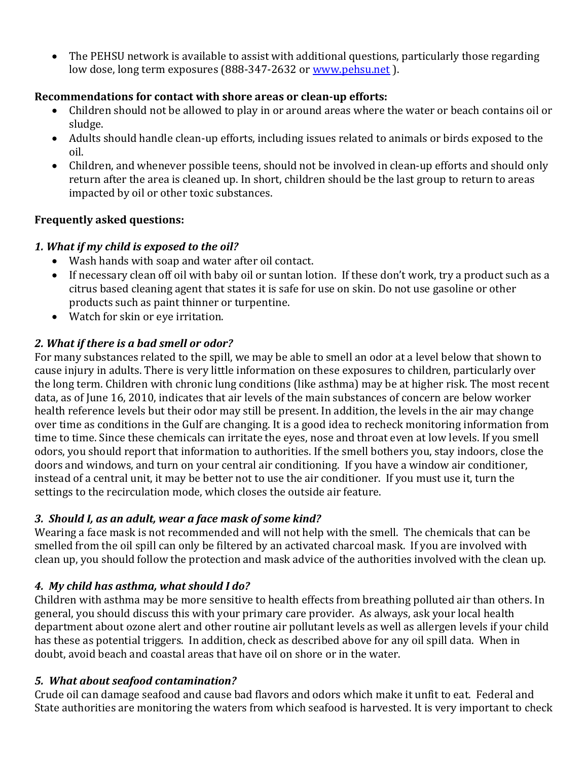• The PEHSU network is available to assist with additional questions, particularly those regarding low dose, long term exposures (888-347-2632 or [www.pehsu.net](http://www.pehsu.net/) ).

#### **Recommendations for contact with shore areas or clean-up efforts:**

- Children should not be allowed to play in or around areas where the water or beach contains oil or sludge.
- Adults should handle clean-up efforts, including issues related to animals or birds exposed to the oil.
- Children, and whenever possible teens, should not be involved in clean-up efforts and should only return after the area is cleaned up. In short, children should be the last group to return to areas impacted by oil or other toxic substances.

#### **Frequently asked questions:**

#### *1. What if my child is exposed to the oil?*

- Wash hands with soap and water after oil contact.
- If necessary clean off oil with baby oil or suntan lotion. If these don't work, try a product such as a citrus based cleaning agent that states it is safe for use on skin. Do not use gasoline or other products such as paint thinner or turpentine.
- Watch for skin or eye irritation.

## *2. What if there is a bad smell or odor?*

For many substances related to the spill, we may be able to smell an odor at a level below that shown to cause injury in adults. There is very little information on these exposures to children, particularly over the long term. Children with chronic lung conditions (like asthma) may be at higher risk. The most recent data, as of June 16, 2010, indicates that air levels of the main substances of concern are below worker health reference levels but their odor may still be present. In addition, the levels in the air may change over time as conditions in the Gulf are changing. It is a good idea to recheck monitoring information from time to time. Since these chemicals can irritate the eyes, nose and throat even at low levels. If you smell odors, you should report that information to authorities. If the smell bothers you, stay indoors, close the doors and windows, and turn on your central air conditioning. If you have a window air conditioner, instead of a central unit, it may be better not to use the air conditioner. If you must use it, turn the settings to the recirculation mode, which closes the outside air feature.

## *3. Should I, as an adult, wear a face mask of some kind?*

Wearing a face mask is not recommended and will not help with the smell. The chemicals that can be smelled from the oil spill can only be filtered by an activated charcoal mask. If you are involved with clean up, you should follow the protection and mask advice of the authorities involved with the clean up.

## *4. My child has asthma, what should I do?*

Children with asthma may be more sensitive to health effects from breathing polluted air than others. In general, you should discuss this with your primary care provider. As always, ask your local health department about ozone alert and other routine air pollutant levels as well as allergen levels if your child has these as potential triggers. In addition, check as described above for any oil spill data. When in doubt, avoid beach and coastal areas that have oil on shore or in the water.

## *5. What about seafood contamination?*

Crude oil can damage seafood and cause bad flavors and odors which make it unfit to eat. Federal and State authorities are monitoring the waters from which seafood is harvested. It is very important to check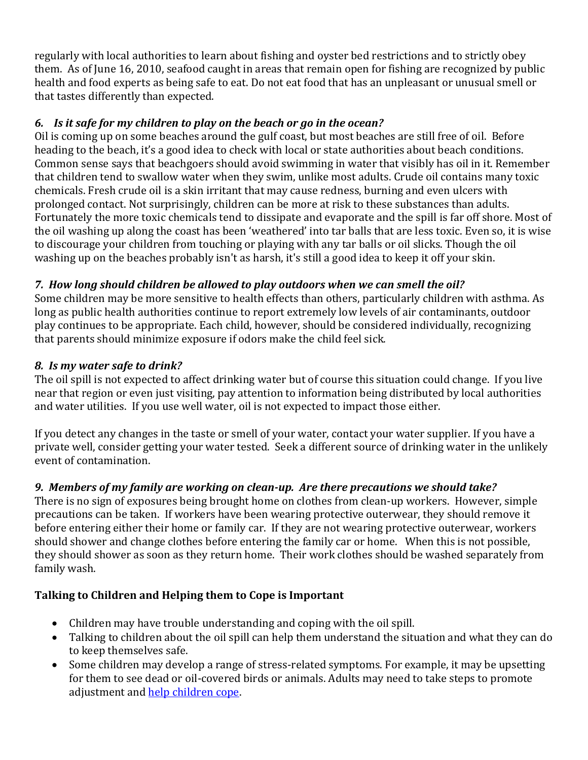regularly with local authorities to learn about fishing and oyster bed restrictions and to strictly obey them. As of June 16, 2010, seafood caught in areas that remain open for fishing are recognized by public health and food experts as being safe to eat. Do not eat food that has an unpleasant or unusual smell or that tastes differently than expected.

## *6. Is it safe for my children to play on the beach or go in the ocean?*

Oil is coming up on some beaches around the gulf coast, but most beaches are still free of oil. Before heading to the beach, it's a good idea to check with local or state authorities about beach conditions. Common sense says that beachgoers should avoid swimming in water that visibly has oil in it. Remember that children tend to swallow water when they swim, unlike most adults. Crude oil contains many toxic chemicals. Fresh crude oil is a skin irritant that may cause redness, burning and even ulcers with prolonged contact. Not surprisingly, children can be more at risk to these substances than adults. Fortunately the more toxic chemicals tend to dissipate and evaporate and the spill is far off shore. Most of the oil washing up along the coast has been 'weathered' into tar balls that are less toxic. Even so, it is wise to discourage your children from touching or playing with any tar balls or oil slicks. Though the oil washing up on the beaches probably isn't as harsh, it's still a good idea to keep it off your skin.

## *7. How long should children be allowed to play outdoors when we can smell the oil?*

Some children may be more sensitive to health effects than others, particularly children with asthma. As long as public health authorities continue to report extremely low levels of air contaminants, outdoor play continues to be appropriate. Each child, however, should be considered individually, recognizing that parents should minimize exposure if odors make the child feel sick.

## *8. Is my water safe to drink?*

The oil spill is not expected to affect drinking water but of course this situation could change. If you live near that region or even just visiting, pay attention to information being distributed by local authorities and water utilities. If you use well water, oil is not expected to impact those either.

If you detect any changes in the taste or smell of your water, contact your water supplier. If you have a private well, consider getting your water tested. Seek a different source of drinking water in the unlikely event of contamination.

# *9. Members of my family are working on clean-up. Are there precautions we should take?*

There is no sign of exposures being brought home on clothes from clean-up workers. However, simple precautions can be taken. If workers have been wearing protective outerwear, they should remove it before entering either their home or family car. If they are not wearing protective outerwear, workers should shower and change clothes before entering the family car or home. When this is not possible, they should shower as soon as they return home. Their work clothes should be washed separately from family wash.

# **Talking to Children and Helping them to Cope is Important**

- Children may have trouble understanding and coping with the oil spill.
- Talking to children about the oil spill can help them understand the situation and what they can do to keep themselves safe.
- Some children may develop a range of stress-related symptoms. For example, it may be upsetting for them to see dead or oil-covered birds or animals. Adults may need to take steps to promote adjustment an[d help children cope.](http://www.aap.org/disasters/adjustment.cfm)